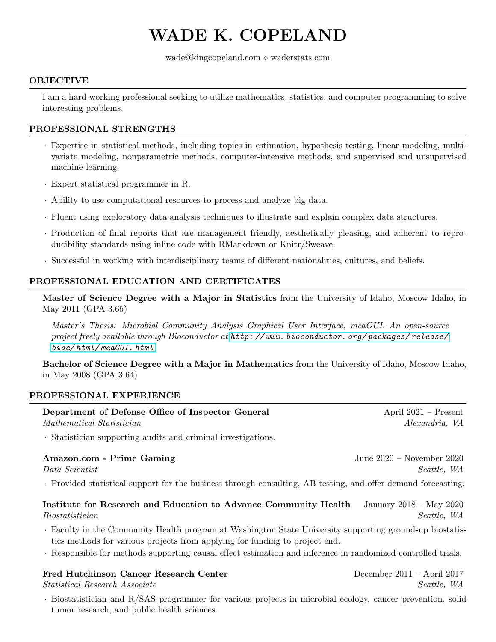# WADE K. COPELAND

wade@kingcopeland.com  $\diamond$  waderstats.com

#### OBJECTIVE

I am a hard-working professional seeking to utilize mathematics, statistics, and computer programming to solve interesting problems.

### PROFESSIONAL STRENGTHS

- · Expertise in statistical methods, including topics in estimation, hypothesis testing, linear modeling, multivariate modeling, nonparametric methods, computer-intensive methods, and supervised and unsupervised machine learning.
- · Expert statistical programmer in R.
- · Ability to use computational resources to process and analyze big data.
- · Fluent using exploratory data analysis techniques to illustrate and explain complex data structures.
- · Production of final reports that are management friendly, aesthetically pleasing, and adherent to reproducibility standards using inline code with RMarkdown or Knitr/Sweave.
- · Successful in working with interdisciplinary teams of different nationalities, cultures, and beliefs.

## PROFESSIONAL EDUCATION AND CERTIFICATES

Master of Science Degree with a Major in Statistics from the University of Idaho, Moscow Idaho, in May 2011 (GPA 3.65)

Master's Thesis: Microbial Community Analysis Graphical User Interface, mcaGUI. An open-source project freely available through Bioconductor at  $http://www.bioconductor.org/packages/release/$ [bioc/ html/ mcaGUI. html](http://www.bioconductor.org/packages/release/bioc/html/mcaGUI.html)

Bachelor of Science Degree with a Major in Mathematics from the University of Idaho, Moscow Idaho, in May 2008 (GPA 3.64)

#### PROFESSIONAL EXPERIENCE

| Department of Defense Office of Inspector General | April $2021$ – Present |
|---------------------------------------------------|------------------------|
| Mathematical Statistician                         | Alexandria, VA         |

April  $2021$  – Present

· Statistician supporting audits and criminal investigations.

#### Amazon.com - Prime Gaming Theorem 2020 – November 2020 – November 2020

Data Scientist Seattle, WA

· Provided statistical support for the business through consulting, AB testing, and offer demand forecasting.

Institute for Research and Education to Advance Community Health January 2018 – May 2020 Biostatistician Seattle, WA

- · Faculty in the Community Health program at Washington State University supporting ground-up biostatistics methods for various projects from applying for funding to project end.
- · Responsible for methods supporting causal effect estimation and inference in randomized controlled trials.

#### Fred Hutchinson Cancer Research Center December 2011 – April 2017

 $Statistical Research Associated \xspace$  Associate Seattle, WA

· Biostatistician and R/SAS programmer for various projects in microbial ecology, cancer prevention, solid tumor research, and public health sciences.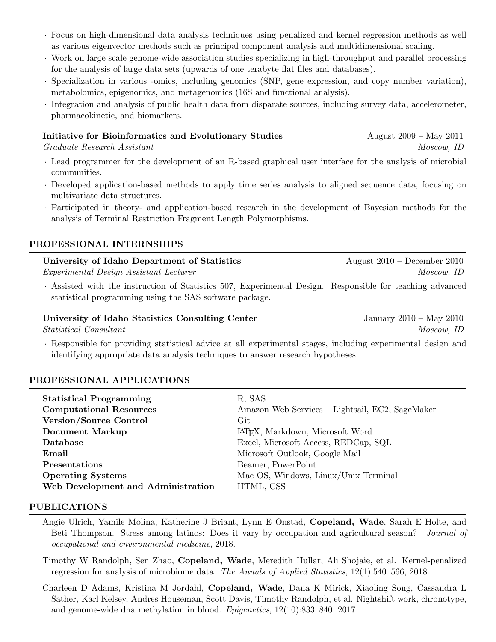- · Focus on high-dimensional data analysis techniques using penalized and kernel regression methods as well as various eigenvector methods such as principal component analysis and multidimensional scaling.
- · Work on large scale genome-wide association studies specializing in high-throughput and parallel processing for the analysis of large data sets (upwards of one terabyte flat files and databases).
- · Specialization in various -omics, including genomics (SNP, gene expression, and copy number variation), metabolomics, epigenomics, and metagenomics (16S and functional analysis).
- · Integration and analysis of public health data from disparate sources, including survey data, accelerometer, pharmacokinetic, and biomarkers.

#### Initiative for Bioinformatics and Evolutionary Studies August 2009 – May 2011

Graduate Research Assistant Moscow, ID

- · Lead programmer for the development of an R-based graphical user interface for the analysis of microbial communities.
- · Developed application-based methods to apply time series analysis to aligned sequence data, focusing on multivariate data structures.
- · Participated in theory- and application-based research in the development of Bayesian methods for the analysis of Terminal Restriction Fragment Length Polymorphisms.

#### PROFESSIONAL INTERNSHIPS

University of Idaho Department of Statistics August 2010 – December 2010 Experimental Design Assistant Lecturer Moscow, ID

· Assisted with the instruction of Statistics 507, Experimental Design. Responsible for teaching advanced statistical programming using the SAS software package.

# University of Idaho Statistics Consulting Center January 2010 – May 2010

· Responsible for providing statistical advice at all experimental stages, including experimental design and identifying appropriate data analysis techniques to answer research hypotheses.

#### PROFESSIONAL APPLICATIONS

| <b>Statistical Programming</b>     | R, SAS                                          |
|------------------------------------|-------------------------------------------------|
| <b>Computational Resources</b>     | Amazon Web Services – Lightsail, EC2, SageMaker |
| <b>Version/Source Control</b>      | $\operatorname{Git}$                            |
| <b>Document Markup</b>             | LAT <sub>E</sub> X, Markdown, Microsoft Word    |
| Database                           | Excel, Microsoft Access, REDCap, SQL            |
| Email                              | Microsoft Outlook, Google Mail                  |
| <b>Presentations</b>               | Beamer, PowerPoint                              |
| <b>Operating Systems</b>           | Mac OS, Windows, Linux/Unix Terminal            |
| Web Development and Administration | HTML, CSS                                       |
|                                    |                                                 |

#### PUBLICATIONS

Angie Ulrich, Yamile Molina, Katherine J Briant, Lynn E Onstad, Copeland, Wade, Sarah E Holte, and Beti Thompson. Stress among latinos: Does it vary by occupation and agricultural season? Journal of occupational and environmental medicine, 2018.

Timothy W Randolph, Sen Zhao, Copeland, Wade, Meredith Hullar, Ali Shojaie, et al. Kernel-penalized regression for analysis of microbiome data. The Annals of Applied Statistics, 12(1):540–566, 2018.

Charleen D Adams, Kristina M Jordahl, Copeland, Wade, Dana K Mirick, Xiaoling Song, Cassandra L Sather, Karl Kelsey, Andres Houseman, Scott Davis, Timothy Randolph, et al. Nightshift work, chronotype, and genome-wide dna methylation in blood. Epigenetics, 12(10):833–840, 2017.

 $Statistical\ Consultant$  Moscow, ID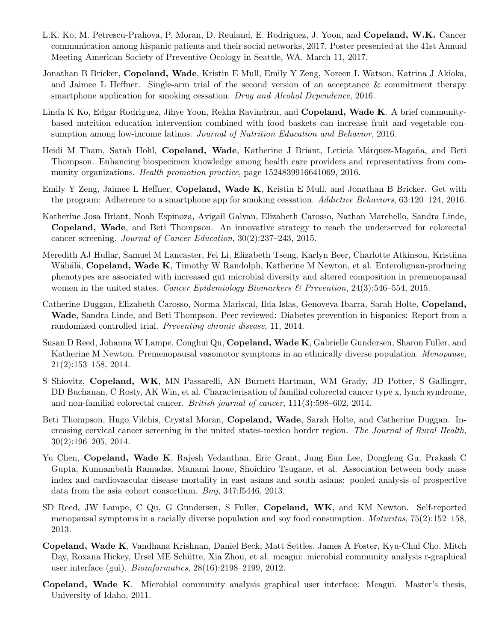- L.K. Ko, M. Petrescu-Prahova, P. Moran, D. Reuland, E. Rodriguez, J. Yoon, and Copeland, W.K. Cancer communication among hispanic patients and their social networks, 2017. Poster presented at the 41st Annual Meeting American Society of Preventive Ocology in Seattle, WA. March 11, 2017.
- Jonathan B Bricker, Copeland, Wade, Kristin E Mull, Emily Y Zeng, Noreen L Watson, Katrina J Akioka, and Jaimee L Heffner. Single-arm trial of the second version of an acceptance & commitment therapy smartphone application for smoking cessation. Drug and Alcohol Dependence, 2016.
- Linda K Ko, Edgar Rodriguez, Jihye Yoon, Rekha Ravindran, and Copeland, Wade K. A brief communitybased nutrition education intervention combined with food baskets can increase fruit and vegetable consumption among low-income latinos. Journal of Nutrition Education and Behavior, 2016.
- Heidi M Tham, Sarah Hohl, Copeland, Wade, Katherine J Briant, Leticia Márquez-Magaña, and Beti Thompson. Enhancing biospecimen knowledge among health care providers and representatives from community organizations. *Health promotion practice*, page  $1524839916641069$ , 2016.
- Emily Y Zeng, Jaimee L Heffner, Copeland, Wade K, Kristin E Mull, and Jonathan B Bricker. Get with the program: Adherence to a smartphone app for smoking cessation. Addictive Behaviors, 63:120-124, 2016.
- Katherine Josa Briant, Noah Espinoza, Avigail Galvan, Elizabeth Carosso, Nathan Marchello, Sandra Linde, Copeland, Wade, and Beti Thompson. An innovative strategy to reach the underserved for colorectal cancer screening. Journal of Cancer Education, 30(2):237–243, 2015.
- Meredith AJ Hullar, Samuel M Lancaster, Fei Li, Elizabeth Tseng, Karlyn Beer, Charlotte Atkinson, Kristiina Wähälä, Copeland, Wade K, Timothy W Randolph, Katherine M Newton, et al. Enterolignan-producing phenotypes are associated with increased gut microbial diversity and altered composition in premenopausal women in the united states. Cancer Epidemiology Biomarkers & Prevention, 24(3):546–554, 2015.
- Catherine Duggan, Elizabeth Carosso, Norma Mariscal, Ilda Islas, Genoveva Ibarra, Sarah Holte, Copeland, Wade, Sandra Linde, and Beti Thompson. Peer reviewed: Diabetes prevention in hispanics: Report from a randomized controlled trial. Preventing chronic disease, 11, 2014.
- Susan D Reed, Johanna W Lampe, Conghui Qu, Copeland, Wade K, Gabrielle Gundersen, Sharon Fuller, and Katherine M Newton. Premenopausal vasomotor symptoms in an ethnically diverse population. Menopause, 21(2):153–158, 2014.
- S Shiovitz, Copeland, WK, MN Passarelli, AN Burnett-Hartman, WM Grady, JD Potter, S Gallinger, DD Buchanan, C Rosty, AK Win, et al. Characterisation of familial colorectal cancer type x, lynch syndrome, and non-familial colorectal cancer. British journal of cancer, 111(3):598–602, 2014.
- Beti Thompson, Hugo Vilchis, Crystal Moran, Copeland, Wade, Sarah Holte, and Catherine Duggan. Increasing cervical cancer screening in the united states-mexico border region. The Journal of Rural Health, 30(2):196–205, 2014.
- Yu Chen, Copeland, Wade K, Rajesh Vedanthan, Eric Grant, Jung Eun Lee, Dongfeng Gu, Prakash C Gupta, Kunnambath Ramadas, Manami Inoue, Shoichiro Tsugane, et al. Association between body mass index and cardiovascular disease mortality in east asians and south asians: pooled analysis of prospective data from the asia cohort consortium. Bmj, 347:f5446, 2013.
- SD Reed, JW Lampe, C Qu, G Gundersen, S Fuller, Copeland, WK, and KM Newton. Self-reported menopausal symptoms in a racially diverse population and soy food consumption. Maturitas, 75(2):152–158, 2013.
- Copeland, Wade K, Vandhana Krishnan, Daniel Beck, Matt Settles, James A Foster, Kyu-Chul Cho, Mitch Day, Roxana Hickey, Ursel ME Schütte, Xia Zhou, et al. mcagui: microbial community analysis r-graphical user interface (gui). Bioinformatics, 28(16):2198–2199, 2012.
- Copeland, Wade K. Microbial community analysis graphical user interface: Mcagui. Master's thesis, University of Idaho, 2011.